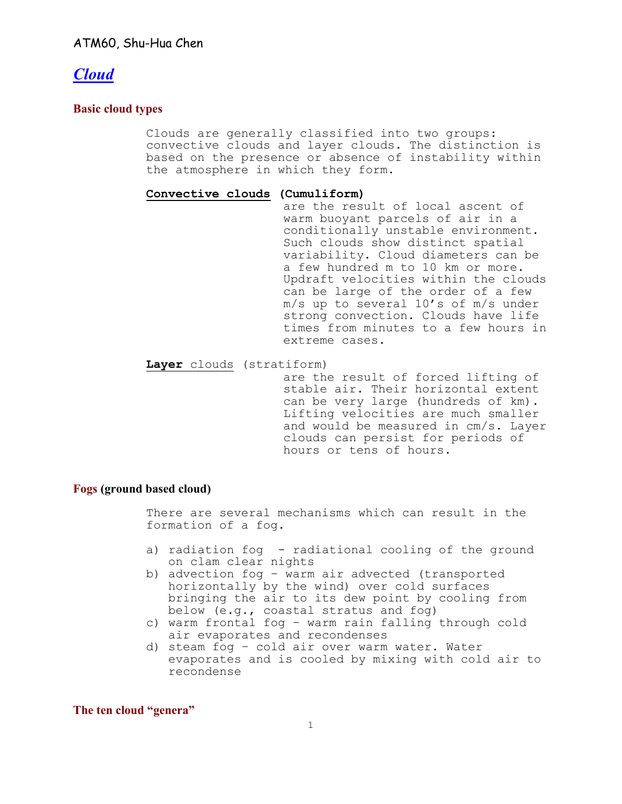## *Cloud*

## **Basic cloud types**

Clouds are generally classified into two groups: convective clouds and layer clouds. The distinction is based on the presence or absence of instability within the atmosphere in which they form.

**Convective clouds (Cumuliform)**

are the result of local ascent of warm buoyant parcels of air in a conditionally unstable environment. Such clouds show distinct spatial variability. Cloud diameters can be a few hundred m to 10 km or more. Updraft velocities within the clouds can be large of the order of a few m/s up to several 10's of m/s under strong convection. Clouds have life times from minutes to a few hours in extreme cases.

**Layer** clouds (stratiform)

are the result of forced lifting of stable air. Their horizontal extent can be very large (hundreds of km). Lifting velocities are much smaller and would be measured in cm/s. Layer clouds can persist for periods of hours or tens of hours.

## **Fogs (ground based cloud)**

There are several mechanisms which can result in the formation of a fog.

- a) radiation fog radiational cooling of the ground on clam clear nights
- b) advection fog warm air advected (transported horizontally by the wind) over cold surfaces bringing the air to its dew point by cooling from below (e.g., coastal stratus and fog)
- c) warm frontal fog warm rain falling through cold air evaporates and recondenses
- d) steam fog cold air over warm water. Water evaporates and is cooled by mixing with cold air to recondense

**The ten cloud "genera"**